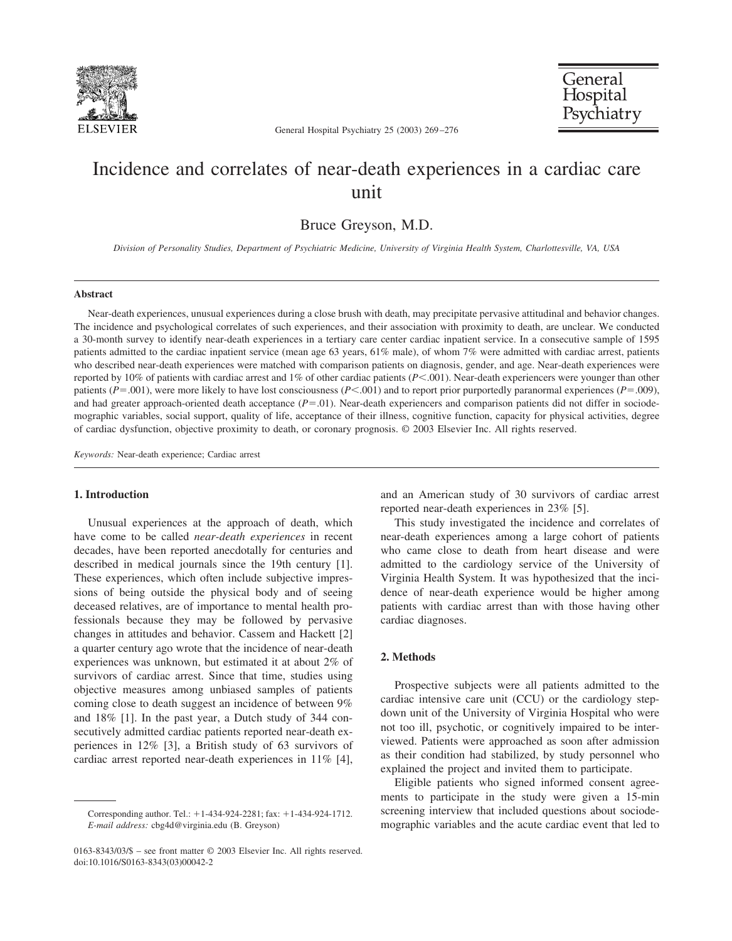

General Hospital Psychiatry 25 (2003) 269–276

# Incidence and correlates of near-death experiences in a cardiac care unit

Bruce Greyson, M.D.

*Division of Personality Studies, Department of Psychiatric Medicine, University of Virginia Health System, Charlottesville, VA, USA*

#### **Abstract**

Near-death experiences, unusual experiences during a close brush with death, may precipitate pervasive attitudinal and behavior changes. The incidence and psychological correlates of such experiences, and their association with proximity to death, are unclear. We conducted a 30-month survey to identify near-death experiences in a tertiary care center cardiac inpatient service. In a consecutive sample of 1595 patients admitted to the cardiac inpatient service (mean age 63 years, 61% male), of whom 7% were admitted with cardiac arrest, patients who described near-death experiences were matched with comparison patients on diagnosis, gender, and age. Near-death experiences were reported by 10% of patients with cardiac arrest and 1% of other cardiac patients (*P*<.001). Near-death experiencers were younger than other patients (*P*=.001), were more likely to have lost consciousness (*P*<.001) and to report prior purportedly paranormal experiences (*P*=.009), and had greater approach-oriented death acceptance  $(P = 0.01)$ . Near-death experiencers and comparison patients did not differ in sociodemographic variables, social support, quality of life, acceptance of their illness, cognitive function, capacity for physical activities, degree of cardiac dysfunction, objective proximity to death, or coronary prognosis. © 2003 Elsevier Inc. All rights reserved.

*Keywords:* Near-death experience; Cardiac arrest

### **1. Introduction**

Unusual experiences at the approach of death, which have come to be called *near-death experiences* in recent decades, have been reported anecdotally for centuries and described in medical journals since the 19th century [\[1\].](#page-6-0) These experiences, which often include subjective impressions of being outside the physical body and of seeing deceased relatives, are of importance to mental health professionals because they may be followed by pervasive changes in attitudes and behavior. Cassem and Hackett [\[2\]](#page-6-0) a quarter century ago wrote that the incidence of near-death experiences was unknown, but estimated it at about 2% of survivors of cardiac arrest. Since that time, studies using objective measures among unbiased samples of patients coming close to death suggest an incidence of between 9% and 18% [\[1\].](#page-6-0) In the past year, a Dutch study of 344 consecutively admitted cardiac patients reported near-death experiences in 12% [\[3\],](#page-6-0) a British study of 63 survivors of cardiac arrest reported near-death experiences in 11% [\[4\],](#page-6-0)

and an American study of 30 survivors of cardiac arrest reported near-death experiences in 23% [\[5\].](#page-6-0)

This study investigated the incidence and correlates of near-death experiences among a large cohort of patients who came close to death from heart disease and were admitted to the cardiology service of the University of Virginia Health System. It was hypothesized that the incidence of near-death experience would be higher among patients with cardiac arrest than with those having other cardiac diagnoses.

# **2. Methods**

Prospective subjects were all patients admitted to the cardiac intensive care unit (CCU) or the cardiology stepdown unit of the University of Virginia Hospital who were not too ill, psychotic, or cognitively impaired to be interviewed. Patients were approached as soon after admission as their condition had stabilized, by study personnel who explained the project and invited them to participate.

Eligible patients who signed informed consent agreements to participate in the study were given a 15-min screening interview that included questions about sociodemographic variables and the acute cardiac event that led to

Corresponding author. Tel.:  $+1-434-924-2281$ ; fax:  $+1-434-924-1712$ . *E-mail address:* cbg4d@virginia.edu (B. Greyson)

<sup>0163-8343/03/\$ –</sup> see front matter © 2003 Elsevier Inc. All rights reserved. doi:10.1016/S0163-8343(03)00042-2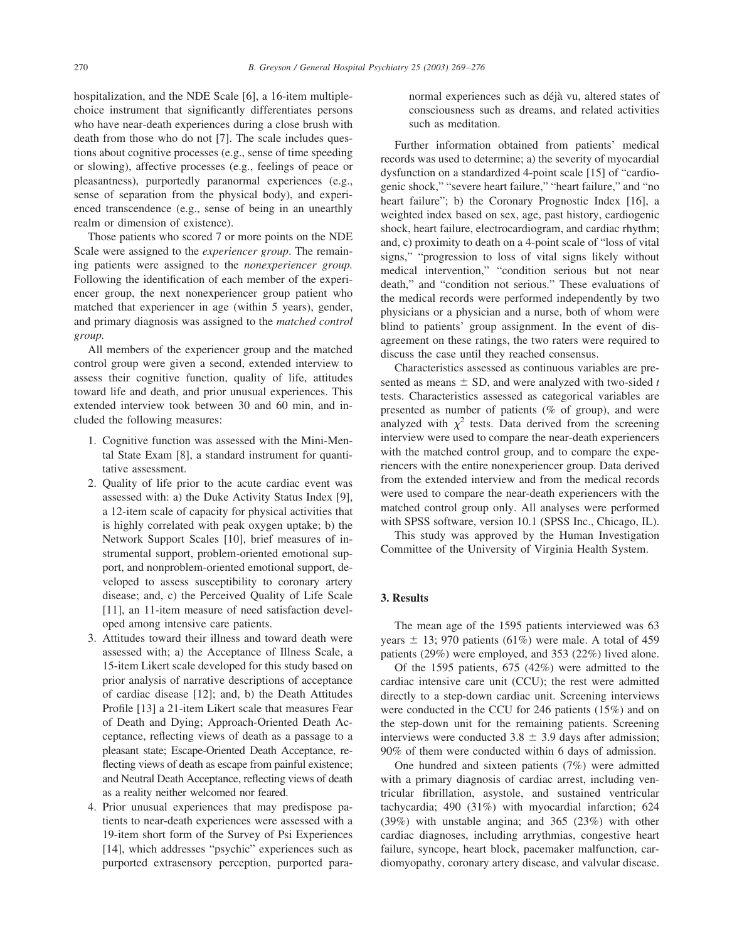hospitalization, and the NDE Scale [\[6\],](#page-6-0) a 16-item multiplechoice instrument that significantly differentiates persons who have near-death experiences during a close brush with death from those who do not [\[7\].](#page-6-0) The scale includes questions about cognitive processes (e.g., sense of time speeding or slowing), affective processes (e.g., feelings of peace or pleasantness), purportedly paranormal experiences (e.g., sense of separation from the physical body), and experienced transcendence (e.g., sense of being in an unearthly realm or dimension of existence).

Those patients who scored 7 or more points on the NDE Scale were assigned to the *experiencer group*. The remaining patients were assigned to the *nonexperiencer group.* Following the identification of each member of the experiencer group, the next nonexperiencer group patient who matched that experiencer in age (within 5 years), gender, and primary diagnosis was assigned to the *matched control group.*

All members of the experiencer group and the matched control group were given a second, extended interview to assess their cognitive function, quality of life, attitudes toward life and death, and prior unusual experiences. This extended interview took between 30 and 60 min, and included the following measures:

- 1. Cognitive function was assessed with the Mini-Mental State Exam [\[8\],](#page-6-0) a standard instrument for quantitative assessment.
- 2. Quality of life prior to the acute cardiac event was assessed with: a) the Duke Activity Status Index [\[9\],](#page-6-0) a 12-item scale of capacity for physical activities that is highly correlated with peak oxygen uptake; b) the Network Support Scales [\[10\],](#page-6-0) brief measures of instrumental support, problem-oriented emotional support, and nonproblem-oriented emotional support, developed to assess susceptibility to coronary artery disease; and, c) the Perceived Quality of Life Scale [\[11\],](#page-6-0) an 11-item measure of need satisfaction developed among intensive care patients.
- 3. Attitudes toward their illness and toward death were assessed with; a) the Acceptance of Illness Scale, a 15-item Likert scale developed for this study based on prior analysis of narrative descriptions of acceptance of cardiac disease [\[12\];](#page-6-0) and, b) the Death Attitudes Profile [\[13\]](#page-6-0) a 21-item Likert scale that measures Fear of Death and Dying; Approach-Oriented Death Acceptance, reflecting views of death as a passage to a pleasant state; Escape-Oriented Death Acceptance, reflecting views of death as escape from painful existence; and Neutral Death Acceptance, reflecting views of death as a reality neither welcomed nor feared.
- 4. Prior unusual experiences that may predispose patients to near-death experiences were assessed with a 19-item short form of the Survey of Psi Experiences [\[14\],](#page-6-0) which addresses "psychic" experiences such as purported extrasensory perception, purported para-

normal experiences such as déjà vu, altered states of consciousness such as dreams, and related activities such as meditation.

Further information obtained from patients' medical records was used to determine; a) the severity of myocardial dysfunction on a standardized 4-point scale [\[15\]](#page-6-0) of "cardiogenic shock," "severe heart failure," "heart failure," and "no heart failure"; b) the Coronary Prognostic Index [\[16\],](#page-6-0) a weighted index based on sex, age, past history, cardiogenic shock, heart failure, electrocardiogram, and cardiac rhythm; and, c) proximity to death on a 4-point scale of "loss of vital signs," "progression to loss of vital signs likely without medical intervention," "condition serious but not near death," and "condition not serious." These evaluations of the medical records were performed independently by two physicians or a physician and a nurse, both of whom were blind to patients' group assignment. In the event of disagreement on these ratings, the two raters were required to discuss the case until they reached consensus.

Characteristics assessed as continuous variables are presented as means  $\pm$  SD, and were analyzed with two-sided *t* tests. Characteristics assessed as categorical variables are presented as number of patients (% of group), and were analyzed with  $\chi^2$  tests. Data derived from the screening interview were used to compare the near-death experiencers with the matched control group, and to compare the experiencers with the entire nonexperiencer group. Data derived from the extended interview and from the medical records were used to compare the near-death experiencers with the matched control group only. All analyses were performed with SPSS software, version 10.1 (SPSS Inc., Chicago, IL).

This study was approved by the Human Investigation Committee of the University of Virginia Health System.

## **3. Results**

The mean age of the 1595 patients interviewed was 63 years  $\pm$  13; 970 patients (61%) were male. A total of 459 patients (29%) were employed, and 353 (22%) lived alone.

Of the 1595 patients, 675 (42%) were admitted to the cardiac intensive care unit (CCU); the rest were admitted directly to a step-down cardiac unit. Screening interviews were conducted in the CCU for 246 patients (15%) and on the step-down unit for the remaining patients. Screening interviews were conducted  $3.8 \pm 3.9$  days after admission; 90% of them were conducted within 6 days of admission.

One hundred and sixteen patients (7%) were admitted with a primary diagnosis of cardiac arrest, including ventricular fibrillation, asystole, and sustained ventricular tachycardia; 490 (31%) with myocardial infarction; 624 (39%) with unstable angina; and 365 (23%) with other cardiac diagnoses, including arrythmias, congestive heart failure, syncope, heart block, pacemaker malfunction, cardiomyopathy, coronary artery disease, and valvular disease.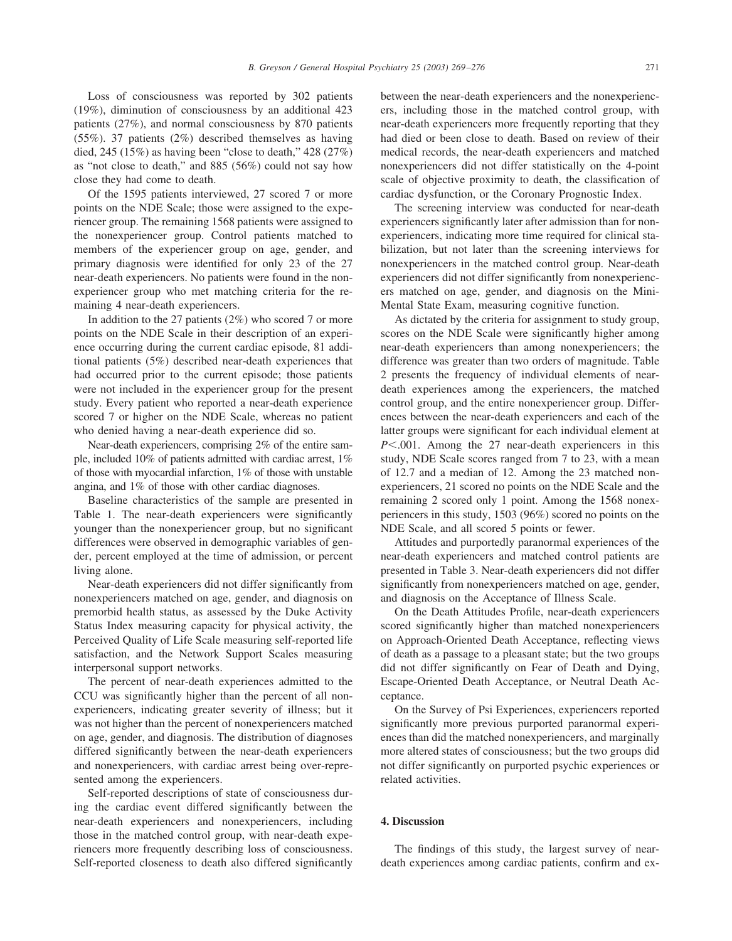Loss of consciousness was reported by 302 patients (19%), diminution of consciousness by an additional 423 patients (27%), and normal consciousness by 870 patients (55%). 37 patients (2%) described themselves as having died, 245 (15%) as having been "close to death," 428 (27%) as "not close to death," and 885 (56%) could not say how close they had come to death.

Of the 1595 patients interviewed, 27 scored 7 or more points on the NDE Scale; those were assigned to the experiencer group. The remaining 1568 patients were assigned to the nonexperiencer group. Control patients matched to members of the experiencer group on age, gender, and primary diagnosis were identified for only 23 of the 27 near-death experiencers. No patients were found in the nonexperiencer group who met matching criteria for the remaining 4 near-death experiencers.

In addition to the 27 patients (2%) who scored 7 or more points on the NDE Scale in their description of an experience occurring during the current cardiac episode, 81 additional patients (5%) described near-death experiences that had occurred prior to the current episode; those patients were not included in the experiencer group for the present study. Every patient who reported a near-death experience scored 7 or higher on the NDE Scale, whereas no patient who denied having a near-death experience did so.

Near-death experiencers, comprising 2% of the entire sample, included 10% of patients admitted with cardiac arrest, 1% of those with myocardial infarction, 1% of those with unstable angina, and 1% of those with other cardiac diagnoses.

Baseline characteristics of the sample are presented in [Table 1.](#page-3-0) The near-death experiencers were significantly younger than the nonexperiencer group, but no significant differences were observed in demographic variables of gender, percent employed at the time of admission, or percent living alone.

Near-death experiencers did not differ significantly from nonexperiencers matched on age, gender, and diagnosis on premorbid health status, as assessed by the Duke Activity Status Index measuring capacity for physical activity, the Perceived Quality of Life Scale measuring self-reported life satisfaction, and the Network Support Scales measuring interpersonal support networks.

The percent of near-death experiences admitted to the CCU was significantly higher than the percent of all nonexperiencers, indicating greater severity of illness; but it was not higher than the percent of nonexperiencers matched on age, gender, and diagnosis. The distribution of diagnoses differed significantly between the near-death experiencers and nonexperiencers, with cardiac arrest being over-represented among the experiencers.

Self-reported descriptions of state of consciousness during the cardiac event differed significantly between the near-death experiencers and nonexperiencers, including those in the matched control group, with near-death experiencers more frequently describing loss of consciousness. Self-reported closeness to death also differed significantly

between the near-death experiencers and the nonexperiencers, including those in the matched control group, with near-death experiencers more frequently reporting that they had died or been close to death. Based on review of their medical records, the near-death experiencers and matched nonexperiencers did not differ statistically on the 4-point scale of objective proximity to death, the classification of cardiac dysfunction, or the Coronary Prognostic Index.

The screening interview was conducted for near-death experiencers significantly later after admission than for nonexperiencers, indicating more time required for clinical stabilization, but not later than the screening interviews for nonexperiencers in the matched control group. Near-death experiencers did not differ significantly from nonexperiencers matched on age, gender, and diagnosis on the Mini-Mental State Exam, measuring cognitive function.

As dictated by the criteria for assignment to study group, scores on the NDE Scale were significantly higher among near-death experiencers than among nonexperiencers; the difference was greater than two orders of magnitude. [Table](#page-4-0) [2](#page-4-0) presents the frequency of individual elements of neardeath experiences among the experiencers, the matched control group, and the entire nonexperiencer group. Differences between the near-death experiencers and each of the latter groups were significant for each individual element at *P*<.001. Among the 27 near-death experiencers in this study, NDE Scale scores ranged from 7 to 23, with a mean of 12.7 and a median of 12. Among the 23 matched nonexperiencers, 21 scored no points on the NDE Scale and the remaining 2 scored only 1 point. Among the 1568 nonexperiencers in this study, 1503 (96%) scored no points on the NDE Scale, and all scored 5 points or fewer.

Attitudes and purportedly paranormal experiences of the near-death experiencers and matched control patients are presented in [Table 3.](#page-4-0) Near-death experiencers did not differ significantly from nonexperiencers matched on age, gender, and diagnosis on the Acceptance of Illness Scale.

On the Death Attitudes Profile, near-death experiencers scored significantly higher than matched nonexperiencers on Approach-Oriented Death Acceptance, reflecting views of death as a passage to a pleasant state; but the two groups did not differ significantly on Fear of Death and Dying, Escape-Oriented Death Acceptance, or Neutral Death Acceptance.

On the Survey of Psi Experiences, experiencers reported significantly more previous purported paranormal experiences than did the matched nonexperiencers, and marginally more altered states of consciousness; but the two groups did not differ significantly on purported psychic experiences or related activities.

# **4. Discussion**

The findings of this study, the largest survey of neardeath experiences among cardiac patients, confirm and ex-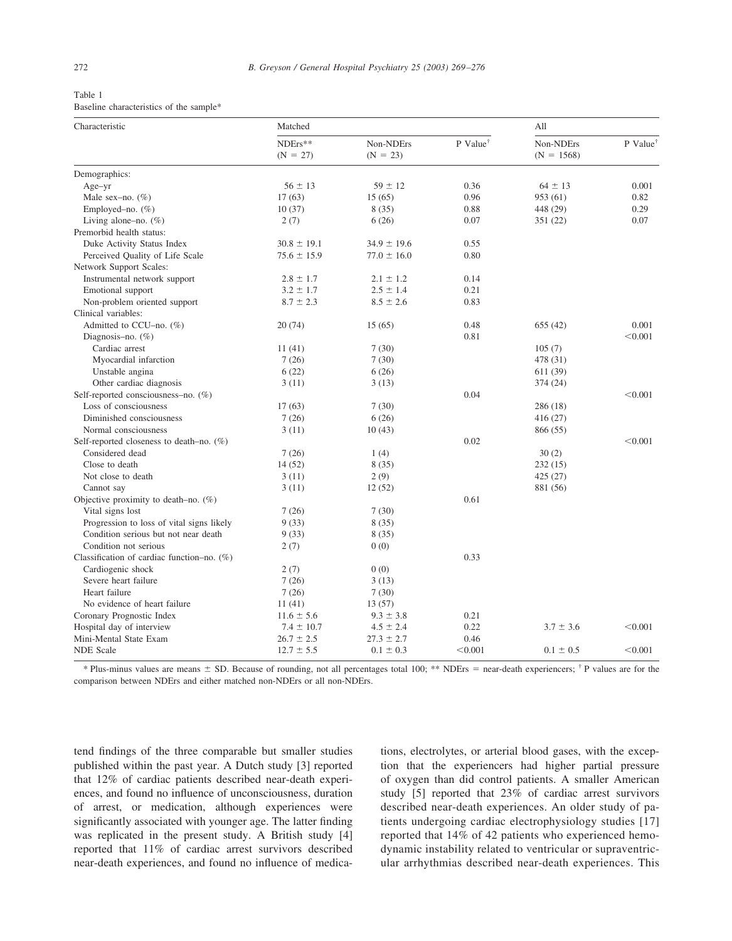<span id="page-3-0"></span>

| Table 1 |                                         |  |
|---------|-----------------------------------------|--|
|         | Baseline characteristics of the sample* |  |

| Characteristic                              | Matched               |                         |                      | All                       |         |
|---------------------------------------------|-----------------------|-------------------------|----------------------|---------------------------|---------|
|                                             | NDErs**<br>$(N = 27)$ | Non-NDErs<br>$(N = 23)$ | P Value <sup>†</sup> | Non-NDErs<br>$(N = 1568)$ | P Value |
| Demographics:                               |                       |                         |                      |                           |         |
| Age-yr                                      | $56 \pm 13$           | $59 \pm 12$             | 0.36                 | $64 \pm 13$               | 0.001   |
| Male sex-no. $(\%)$                         | 17(63)                | 15(65)                  | 0.96                 | 953 (61)                  | 0.82    |
| Employed-no. (%)                            | 10(37)                | 8(35)                   | 0.88                 | 448 (29)                  | 0.29    |
| Living alone-no. (%)                        | 2(7)                  | 6(26)                   | 0.07                 | 351 (22)                  | 0.07    |
| Premorbid health status:                    |                       |                         |                      |                           |         |
| Duke Activity Status Index                  | $30.8 \pm 19.1$       | $34.9 \pm 19.6$         | 0.55                 |                           |         |
| Perceived Quality of Life Scale             | $75.6 \pm 15.9$       | $77.0 \pm 16.0$         | 0.80                 |                           |         |
| Network Support Scales:                     |                       |                         |                      |                           |         |
| Instrumental network support                | $2.8 \pm 1.7$         | $2.1 \pm 1.2$           | 0.14                 |                           |         |
| Emotional support                           | $3.2 \pm 1.7$         | $2.5 \pm 1.4$           | 0.21                 |                           |         |
| Non-problem oriented support                | $8.7 \pm 2.3$         | $8.5 \pm 2.6$           | 0.83                 |                           |         |
| Clinical variables:                         |                       |                         |                      |                           |         |
| Admitted to CCU-no. $(\%)$                  | 20(74)                | 15(65)                  | 0.48                 | 655(42)                   | 0.001   |
| Diagnosis–no. $(\%)$                        |                       |                         | 0.81                 |                           | < 0.001 |
| Cardiac arrest                              | 11(41)                | 7(30)                   |                      | 105(7)                    |         |
| Myocardial infarction                       | 7(26)                 | 7(30)                   |                      | 478 (31)                  |         |
| Unstable angina                             | 6(22)                 | 6(26)                   |                      | 611 (39)                  |         |
| Other cardiac diagnosis                     | 3(11)                 | 3(13)                   |                      | 374 (24)                  |         |
| Self-reported consciousness-no. (%)         |                       |                         | 0.04                 |                           | < 0.001 |
| Loss of consciousness                       | 17(63)                | 7(30)                   |                      | 286 (18)                  |         |
| Diminished consciousness                    | 7(26)                 | 6(26)                   |                      | 416(27)                   |         |
| Normal consciousness                        | 3(11)                 | 10(43)                  |                      | 866 (55)                  |         |
| Self-reported closeness to death–no. $(\%)$ |                       |                         | 0.02                 |                           | < 0.001 |
| Considered dead                             | 7(26)                 | 1(4)                    |                      | 30(2)                     |         |
| Close to death                              | 14(52)                | 8(35)                   |                      | 232(15)                   |         |
| Not close to death                          | 3(11)                 | 2(9)                    |                      | 425 (27)                  |         |
| Cannot say                                  | 3(11)                 | 12(52)                  |                      | 881 (56)                  |         |
| Objective proximity to death-no. (%)        |                       |                         | 0.61                 |                           |         |
| Vital signs lost                            | 7(26)                 | 7(30)                   |                      |                           |         |
| Progression to loss of vital signs likely   | 9(33)                 | 8 (35)                  |                      |                           |         |
| Condition serious but not near death        | 9(33)                 | 8(35)                   |                      |                           |         |
| Condition not serious                       | 2(7)                  | 0(0)                    |                      |                           |         |
| Classification of cardiac function-no. (%)  |                       |                         | 0.33                 |                           |         |
| Cardiogenic shock                           | 2(7)                  | 0(0)                    |                      |                           |         |
| Severe heart failure                        | 7(26)                 | 3(13)                   |                      |                           |         |
| Heart failure                               | 7(26)                 | 7(30)                   |                      |                           |         |
| No evidence of heart failure                | 11(41)                | 13 (57)                 |                      |                           |         |
| Coronary Prognostic Index                   | $11.6 \pm 5.6$        | $9.3 \pm 3.8$           | 0.21                 |                           |         |
| Hospital day of interview                   | $7.4 \pm 10.7$        | $4.5 \pm 2.4$           | 0.22                 | $3.7 \pm 3.6$             | < 0.001 |
| Mini-Mental State Exam                      | $26.7 \pm 2.5$        | $27.3 \pm 2.7$          | 0.46                 |                           |         |
| <b>NDE Scale</b>                            | $12.7 \pm 5.5$        | $0.1 \pm 0.3$           | < 0.001              | $0.1 \pm 0.5$             | < 0.001 |
|                                             |                       |                         |                      |                           |         |

\* Plus-minus values are means  $\pm$  SD. Because of rounding, not all percentages total 100; \*\* NDErs = near-death experiencers; <sup>†</sup> P values are for the comparison between NDErs and either matched non-NDErs or all non-NDErs.

tend findings of the three comparable but smaller studies published within the past year. A Dutch study [\[3\]](#page-6-0) reported that 12% of cardiac patients described near-death experiences, and found no influence of unconsciousness, duration of arrest, or medication, although experiences were significantly associated with younger age. The latter finding was replicated in the present study. A British study [\[4\]](#page-6-0) reported that 11% of cardiac arrest survivors described near-death experiences, and found no influence of medications, electrolytes, or arterial blood gases, with the exception that the experiencers had higher partial pressure of oxygen than did control patients. A smaller American study [\[5\]](#page-6-0) reported that 23% of cardiac arrest survivors described near-death experiences. An older study of patients undergoing cardiac electrophysiology studies [\[17\]](#page-6-0) reported that 14% of 42 patients who experienced hemodynamic instability related to ventricular or supraventricular arrhythmias described near-death experiences. This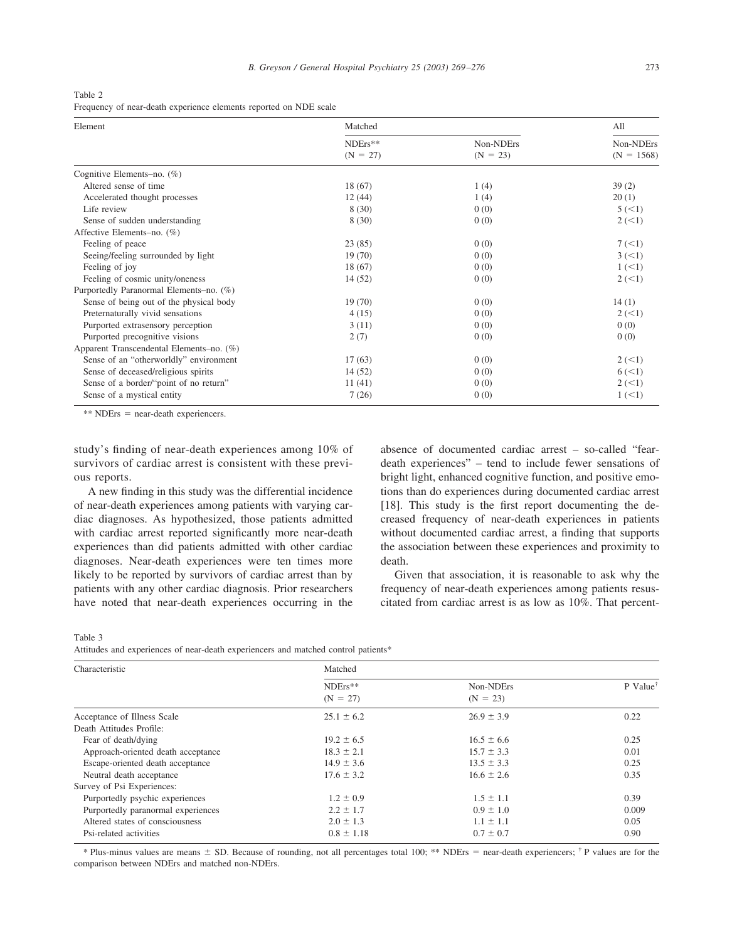<span id="page-4-0"></span>Table 2

| Element                                  | Matched               | All                     |                           |  |
|------------------------------------------|-----------------------|-------------------------|---------------------------|--|
|                                          | NDErs**<br>$(N = 27)$ | Non-NDErs<br>$(N = 23)$ | Non-NDErs<br>$(N = 1568)$ |  |
| Cognitive Elements-no. $(\%)$            |                       |                         |                           |  |
| Altered sense of time                    | 18(67)                | 1(4)                    | 39(2)                     |  |
| Accelerated thought processes            | 12(44)                | 1(4)                    | 20(1)                     |  |
| Life review                              | 8(30)                 | 0(0)                    | 5 (< 1)                   |  |
| Sense of sudden understanding            | 8(30)                 | 0(0)                    | 2 (< 1)                   |  |
| Affective Elements–no. $(\%)$            |                       |                         |                           |  |
| Feeling of peace                         | 23(85)                | 0(0)                    | 7 (< 1)                   |  |
| Seeing/feeling surrounded by light       | 19(70)                | 0(0)                    | 3 (< 1)                   |  |
| Feeling of joy                           | 18(67)                | 0(0)                    | 1 (< 1)                   |  |
| Feeling of cosmic unity/oneness          | 14(52)                | 0(0)                    | 2 (< 1)                   |  |
| Purportedly Paranormal Elements–no. (%)  |                       |                         |                           |  |
| Sense of being out of the physical body  | 19(70)                | 0(0)                    | 14(1)                     |  |
| Preternaturally vivid sensations         | 4(15)                 | 0(0)                    | $2 \,(1)$                 |  |
| Purported extrasensory perception        | 3(11)                 | 0(0)                    | 0(0)                      |  |
| Purported precognitive visions           | 2(7)                  | 0(0)                    | 0(0)                      |  |
| Apparent Transcendental Elements-no. (%) |                       |                         |                           |  |
| Sense of an "otherworldly" environment   | 17(63)                | 0(0)                    | $2 \,(1)$                 |  |
| Sense of deceased/religious spirits      | 14(52)                | 0(0)                    | 6 (< 1)                   |  |
| Sense of a border/"point of no return"   | 11(41)                | 0(0)                    | $2 \,(1)$                 |  |
| Sense of a mystical entity               | 7(26)                 | 0(0)                    | 1 (< 1)                   |  |

\*\* NDErs = near-death experiencers.

study's finding of near-death experiences among 10% of survivors of cardiac arrest is consistent with these previous reports.

A new finding in this study was the differential incidence of near-death experiences among patients with varying cardiac diagnoses. As hypothesized, those patients admitted with cardiac arrest reported significantly more near-death experiences than did patients admitted with other cardiac diagnoses. Near-death experiences were ten times more likely to be reported by survivors of cardiac arrest than by patients with any other cardiac diagnosis. Prior researchers have noted that near-death experiences occurring in the absence of documented cardiac arrest – so-called "feardeath experiences" – tend to include fewer sensations of bright light, enhanced cognitive function, and positive emotions than do experiences during documented cardiac arrest [\[18\].](#page-6-0) This study is the first report documenting the decreased frequency of near-death experiences in patients without documented cardiac arrest, a finding that supports the association between these experiences and proximity to death.

Given that association, it is reasonable to ask why the frequency of near-death experiences among patients resuscitated from cardiac arrest is as low as 10%. That percent-

Table 3

Attitudes and experiences of near-death experiencers and matched control patients\*

| Characteristic                     | Matched               |                         |                        |  |
|------------------------------------|-----------------------|-------------------------|------------------------|--|
|                                    | NDErs**<br>$(N = 27)$ | Non-NDErs<br>$(N = 23)$ | $P$ Value <sup>†</sup> |  |
| Acceptance of Illness Scale        | $25.1 \pm 6.2$        | $26.9 \pm 3.9$          | 0.22                   |  |
| Death Attitudes Profile:           |                       |                         |                        |  |
| Fear of death/dying                | $19.2 \pm 6.5$        | $16.5 \pm 6.6$          | 0.25                   |  |
| Approach-oriented death acceptance | $18.3 \pm 2.1$        | $15.7 \pm 3.3$          | 0.01                   |  |
| Escape-oriented death acceptance   | $14.9 \pm 3.6$        | $13.5 \pm 3.3$          | 0.25                   |  |
| Neutral death acceptance           | $17.6 \pm 3.2$        | $16.6 \pm 2.6$          | 0.35                   |  |
| Survey of Psi Experiences:         |                       |                         |                        |  |
| Purportedly psychic experiences    | $1.2 \pm 0.9$         | $1.5 \pm 1.1$           | 0.39                   |  |
| Purportedly paranormal experiences | $2.2 \pm 1.7$         | $0.9 \pm 1.0$           | 0.009                  |  |
| Altered states of consciousness    | $2.0 \pm 1.3$         | $1.1 \pm 1.1$           | 0.05                   |  |
| Psi-related activities             | $0.8 \pm 1.18$        | $0.7 \pm 0.7$           | 0.90                   |  |

\* Plus-minus values are means  $\pm$  SD. Because of rounding, not all percentages total 100; \*\* NDErs = near-death experiencers; <sup>†</sup> P values are for the comparison between NDErs and matched non-NDErs.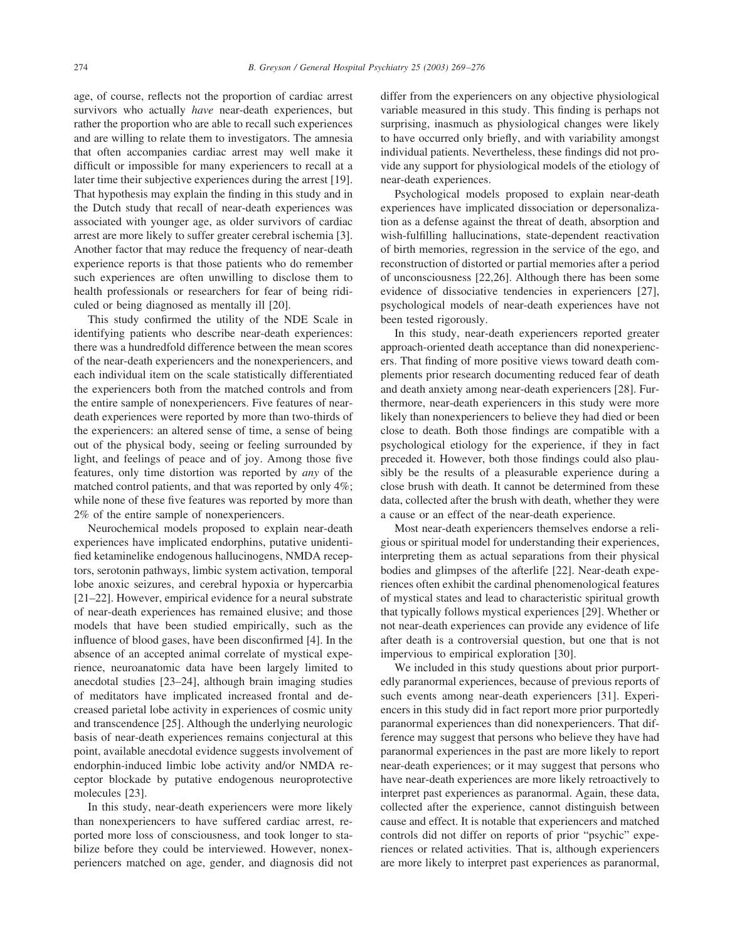age, of course, reflects not the proportion of cardiac arrest survivors who actually *have* near-death experiences, but rather the proportion who are able to recall such experiences and are willing to relate them to investigators. The amnesia that often accompanies cardiac arrest may well make it difficult or impossible for many experiencers to recall at a later time their subjective experiences during the arrest [\[19\].](#page-6-0) That hypothesis may explain the finding in this study and in the Dutch study that recall of near-death experiences was associated with younger age, as older survivors of cardiac arrest are more likely to suffer greater cerebral ischemia [\[3\].](#page-6-0) Another factor that may reduce the frequency of near-death experience reports is that those patients who do remember such experiences are often unwilling to disclose them to health professionals or researchers for fear of being ridiculed or being diagnosed as mentally ill [\[20\].](#page-6-0)

This study confirmed the utility of the NDE Scale in identifying patients who describe near-death experiences: there was a hundredfold difference between the mean scores of the near-death experiencers and the nonexperiencers, and each individual item on the scale statistically differentiated the experiencers both from the matched controls and from the entire sample of nonexperiencers. Five features of neardeath experiences were reported by more than two-thirds of the experiencers: an altered sense of time, a sense of being out of the physical body, seeing or feeling surrounded by light, and feelings of peace and of joy. Among those five features, only time distortion was reported by *any* of the matched control patients, and that was reported by only 4%; while none of these five features was reported by more than 2% of the entire sample of nonexperiencers.

Neurochemical models proposed to explain near-death experiences have implicated endorphins, putative unidentified ketaminelike endogenous hallucinogens, NMDA receptors, serotonin pathways, limbic system activation, temporal lobe anoxic seizures, and cerebral hypoxia or hypercarbia [\[21–22\].](#page-7-0) However, empirical evidence for a neural substrate of near-death experiences has remained elusive; and those models that have been studied empirically, such as the influence of blood gases, have been disconfirmed [\[4\].](#page-6-0) In the absence of an accepted animal correlate of mystical experience, neuroanatomic data have been largely limited to anecdotal studies [\[23–24\],](#page-7-0) although brain imaging studies of meditators have implicated increased frontal and decreased parietal lobe activity in experiences of cosmic unity and transcendence [\[25\].](#page-7-0) Although the underlying neurologic basis of near-death experiences remains conjectural at this point, available anecdotal evidence suggests involvement of endorphin-induced limbic lobe activity and/or NMDA receptor blockade by putative endogenous neuroprotective molecules [\[23\].](#page-7-0)

In this study, near-death experiencers were more likely than nonexperiencers to have suffered cardiac arrest, reported more loss of consciousness, and took longer to stabilize before they could be interviewed. However, nonexperiencers matched on age, gender, and diagnosis did not differ from the experiencers on any objective physiological variable measured in this study. This finding is perhaps not surprising, inasmuch as physiological changes were likely to have occurred only briefly, and with variability amongst individual patients. Nevertheless, these findings did not provide any support for physiological models of the etiology of near-death experiences.

Psychological models proposed to explain near-death experiences have implicated dissociation or depersonalization as a defense against the threat of death, absorption and wish-fulfilling hallucinations, state-dependent reactivation of birth memories, regression in the service of the ego, and reconstruction of distorted or partial memories after a period of unconsciousness [\[22,26\].](#page-7-0) Although there has been some evidence of dissociative tendencies in experiencers [\[27\],](#page-7-0) psychological models of near-death experiences have not been tested rigorously.

In this study, near-death experiencers reported greater approach-oriented death acceptance than did nonexperiencers. That finding of more positive views toward death complements prior research documenting reduced fear of death and death anxiety among near-death experiencers [\[28\].](#page-7-0) Furthermore, near-death experiencers in this study were more likely than nonexperiencers to believe they had died or been close to death. Both those findings are compatible with a psychological etiology for the experience, if they in fact preceded it. However, both those findings could also plausibly be the results of a pleasurable experience during a close brush with death. It cannot be determined from these data, collected after the brush with death, whether they were a cause or an effect of the near-death experience.

Most near-death experiencers themselves endorse a religious or spiritual model for understanding their experiences, interpreting them as actual separations from their physical bodies and glimpses of the afterlife [\[22\].](#page-7-0) Near-death experiences often exhibit the cardinal phenomenological features of mystical states and lead to characteristic spiritual growth that typically follows mystical experiences [\[29\].](#page-7-0) Whether or not near-death experiences can provide any evidence of life after death is a controversial question, but one that is not impervious to empirical exploration [\[30\].](#page-7-0)

We included in this study questions about prior purportedly paranormal experiences, because of previous reports of such events among near-death experiencers [\[31\].](#page-7-0) Experiencers in this study did in fact report more prior purportedly paranormal experiences than did nonexperiencers. That difference may suggest that persons who believe they have had paranormal experiences in the past are more likely to report near-death experiences; or it may suggest that persons who have near-death experiences are more likely retroactively to interpret past experiences as paranormal. Again, these data, collected after the experience, cannot distinguish between cause and effect. It is notable that experiencers and matched controls did not differ on reports of prior "psychic" experiences or related activities. That is, although experiencers are more likely to interpret past experiences as paranormal,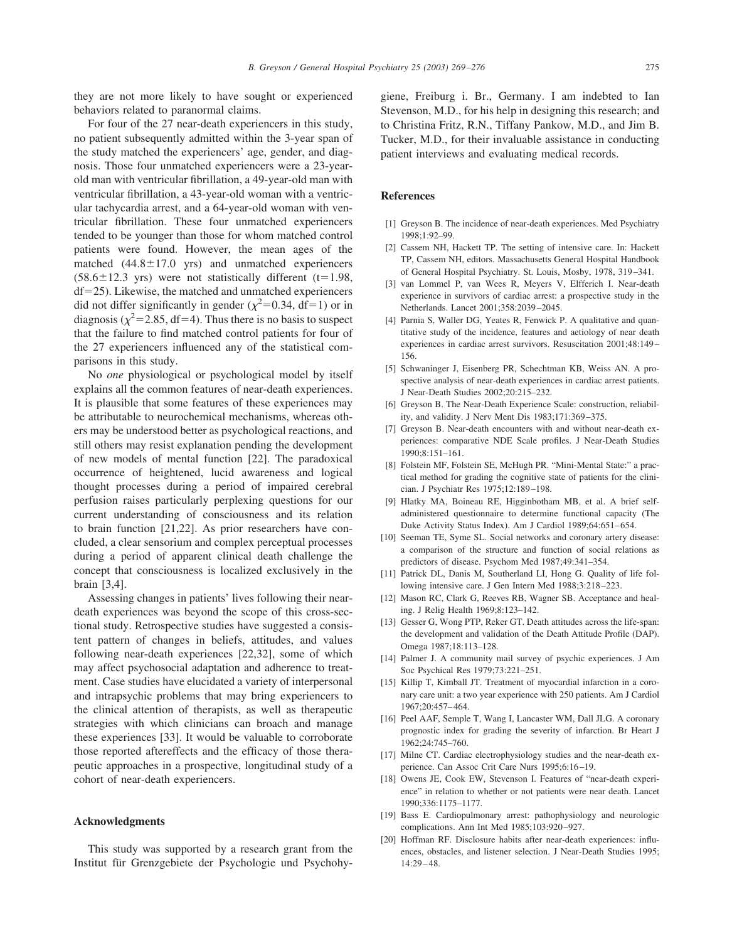<span id="page-6-0"></span>they are not more likely to have sought or experienced behaviors related to paranormal claims.

For four of the 27 near-death experiencers in this study, no patient subsequently admitted within the 3-year span of the study matched the experiencers' age, gender, and diagnosis. Those four unmatched experiencers were a 23-yearold man with ventricular fibrillation, a 49-year-old man with ventricular fibrillation, a 43-year-old woman with a ventricular tachycardia arrest, and a 64-year-old woman with ventricular fibrillation. These four unmatched experiencers tended to be younger than those for whom matched control patients were found. However, the mean ages of the matched  $(44.8 \pm 17.0 \text{ yrs})$  and unmatched experiencers  $(58.6 \pm 12.3 \text{ yrs})$  were not statistically different (t=1.98, df=25). Likewise, the matched and unmatched experiencers did not differ significantly in gender ( $\chi^2$ =0.34, df=1) or in diagnosis ( $\chi^2$ =2.85, df=4). Thus there is no basis to suspect that the failure to find matched control patients for four of the 27 experiencers influenced any of the statistical comparisons in this study.

No *one* physiological or psychological model by itself explains all the common features of near-death experiences. It is plausible that some features of these experiences may be attributable to neurochemical mechanisms, whereas others may be understood better as psychological reactions, and still others may resist explanation pending the development of new models of mental function [\[22\].](#page-7-0) The paradoxical occurrence of heightened, lucid awareness and logical thought processes during a period of impaired cerebral perfusion raises particularly perplexing questions for our current understanding of consciousness and its relation to brain function [\[21,22\].](#page-7-0) As prior researchers have concluded, a clear sensorium and complex perceptual processes during a period of apparent clinical death challenge the concept that consciousness is localized exclusively in the brain [3,4].

Assessing changes in patients' lives following their neardeath experiences was beyond the scope of this cross-sectional study. Retrospective studies have suggested a consistent pattern of changes in beliefs, attitudes, and values following near-death experiences [\[22,32\],](#page-7-0) some of which may affect psychosocial adaptation and adherence to treatment. Case studies have elucidated a variety of interpersonal and intrapsychic problems that may bring experiencers to the clinical attention of therapists, as well as therapeutic strategies with which clinicians can broach and manage these experiences [\[33\].](#page-7-0) It would be valuable to corroborate those reported aftereffects and the efficacy of those therapeutic approaches in a prospective, longitudinal study of a cohort of near-death experiencers.

#### **Acknowledgments**

This study was supported by a research grant from the Institut für Grenzgebiete der Psychologie und Psychohygiene, Freiburg i. Br., Germany. I am indebted to Ian Stevenson, M.D., for his help in designing this research; and to Christina Fritz, R.N., Tiffany Pankow, M.D., and Jim B. Tucker, M.D., for their invaluable assistance in conducting patient interviews and evaluating medical records.

#### **References**

- [1] Greyson B. The incidence of near-death experiences. Med Psychiatry 1998;1:92–99.
- [2] Cassem NH, Hackett TP. The setting of intensive care. In: Hackett TP, Cassem NH, editors. Massachusetts General Hospital Handbook of General Hospital Psychiatry. St. Louis, Mosby, 1978, 319–341.
- [3] van Lommel P, van Wees R, Meyers V, Elfferich I. Near-death experience in survivors of cardiac arrest: a prospective study in the Netherlands. Lancet 2001;358:2039–2045.
- [4] Parnia S, Waller DG, Yeates R, Fenwick P. A qualitative and quantitative study of the incidence, features and aetiology of near death experiences in cardiac arrest survivors. Resuscitation 2001;48:149– 156.
- [5] Schwaninger J, Eisenberg PR, Schechtman KB, Weiss AN. A prospective analysis of near-death experiences in cardiac arrest patients. J Near-Death Studies 2002;20:215–232.
- [6] Greyson B. The Near-Death Experience Scale: construction, reliability, and validity. J Nerv Ment Dis 1983;171:369–375.
- [7] Greyson B. Near-death encounters with and without near-death experiences: comparative NDE Scale profiles. J Near-Death Studies 1990;8:151–161.
- [8] Folstein MF, Folstein SE, McHugh PR. "Mini-Mental State:" a practical method for grading the cognitive state of patients for the clinician. J Psychiatr Res 1975;12:189–198.
- [9] Hlatky MA, Boineau RE, Higginbotham MB, et al. A brief selfadministered questionnaire to determine functional capacity (The Duke Activity Status Index). Am J Cardiol 1989;64:651–654.
- [10] Seeman TE, Syme SL. Social networks and coronary artery disease: a comparison of the structure and function of social relations as predictors of disease. Psychom Med 1987;49:341–354.
- [11] Patrick DL, Danis M, Southerland LI, Hong G. Quality of life following intensive care. J Gen Intern Med 1988;3:218–223.
- [12] Mason RC, Clark G, Reeves RB, Wagner SB. Acceptance and healing. J Relig Health 1969;8:123–142.
- [13] Gesser G, Wong PTP, Reker GT. Death attitudes across the life-span: the development and validation of the Death Attitude Profile (DAP). Omega 1987;18:113–128.
- [14] Palmer J. A community mail survey of psychic experiences. J Am Soc Psychical Res 1979;73:221–251.
- [15] Killip T, Kimball JT. Treatment of myocardial infarction in a coronary care unit: a two year experience with 250 patients. Am J Cardiol 1967;20:457–464.
- [16] Peel AAF, Semple T, Wang I, Lancaster WM, Dall JLG. A coronary prognostic index for grading the severity of infarction. Br Heart J 1962;24:745–760.
- [17] Milne CT. Cardiac electrophysiology studies and the near-death experience. Can Assoc Crit Care Nurs 1995;6:16–19.
- [18] Owens JE, Cook EW, Stevenson I. Features of "near-death experience" in relation to whether or not patients were near death. Lancet 1990;336:1175–1177.
- [19] Bass E. Cardiopulmonary arrest: pathophysiology and neurologic complications. Ann Int Med 1985;103:920–927.
- [20] Hoffman RF. Disclosure habits after near-death experiences: influences, obstacles, and listener selection. J Near-Death Studies 1995; 14:29–48.